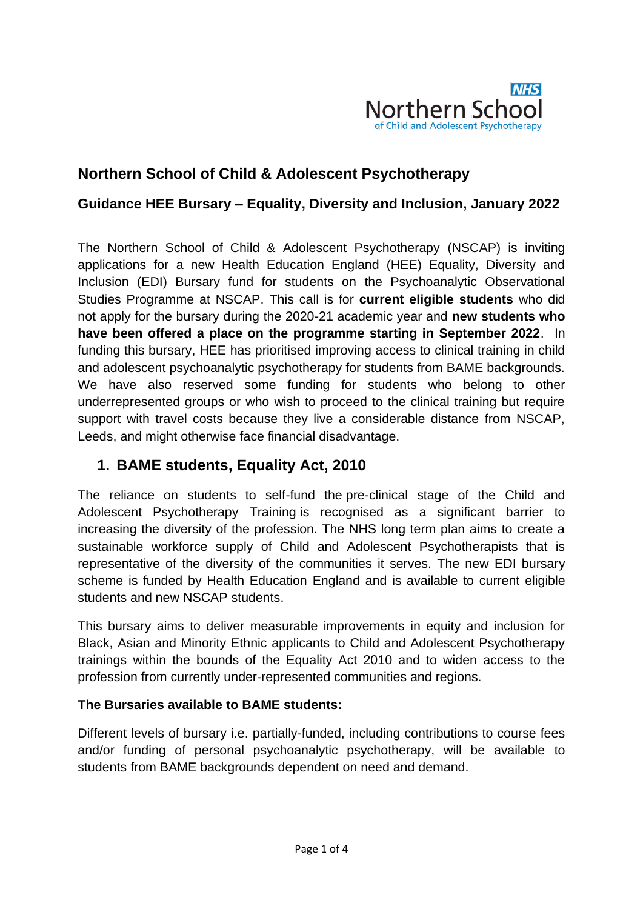

# **Northern School of Child & Adolescent Psychotherapy**

### **Guidance HEE Bursary – Equality, Diversity and Inclusion, January 2022**

The Northern School of Child & Adolescent Psychotherapy (NSCAP) is inviting applications for a new Health Education England (HEE) Equality, Diversity and Inclusion (EDI) Bursary fund for students on the Psychoanalytic Observational Studies Programme at NSCAP. This call is for **current eligible students** who did not apply for the bursary during the 2020-21 academic year and **new students who have been offered a place on the programme starting in September 2022**. In funding this bursary, HEE has prioritised improving access to clinical training in child and adolescent psychoanalytic psychotherapy for students from BAME backgrounds. We have also reserved some funding for students who belong to other underrepresented groups or who wish to proceed to the clinical training but require support with travel costs because they live a considerable distance from NSCAP, Leeds, and might otherwise face financial disadvantage.

## **1. BAME students, Equality Act, 2010**

The reliance on students to self-fund the [pre-clinical stage of the Child and](https://www.nscap.org.uk/content/psychoanalytic-observational-studies)  [Adolescent Psychotherapy Training](https://www.nscap.org.uk/content/psychoanalytic-observational-studies) is recognised as a significant barrier to increasing the diversity of the profession. The NHS long term plan aims to create a sustainable workforce supply of Child and Adolescent Psychotherapists that is representative of the diversity of the communities it serves. The new EDI bursary scheme is funded by Health Education England and is available to current eligible students and new NSCAP students.

This bursary aims to deliver measurable improvements in equity and inclusion for Black, Asian and Minority Ethnic applicants to Child and Adolescent Psychotherapy trainings within the bounds of the Equality Act 2010 and to widen access to the profession from currently under-represented communities and regions.

#### **The Bursaries available to BAME students:**

Different levels of bursary i.e. partially-funded, including contributions to course fees and/or funding of personal psychoanalytic psychotherapy, will be available to students from BAME backgrounds dependent on need and demand.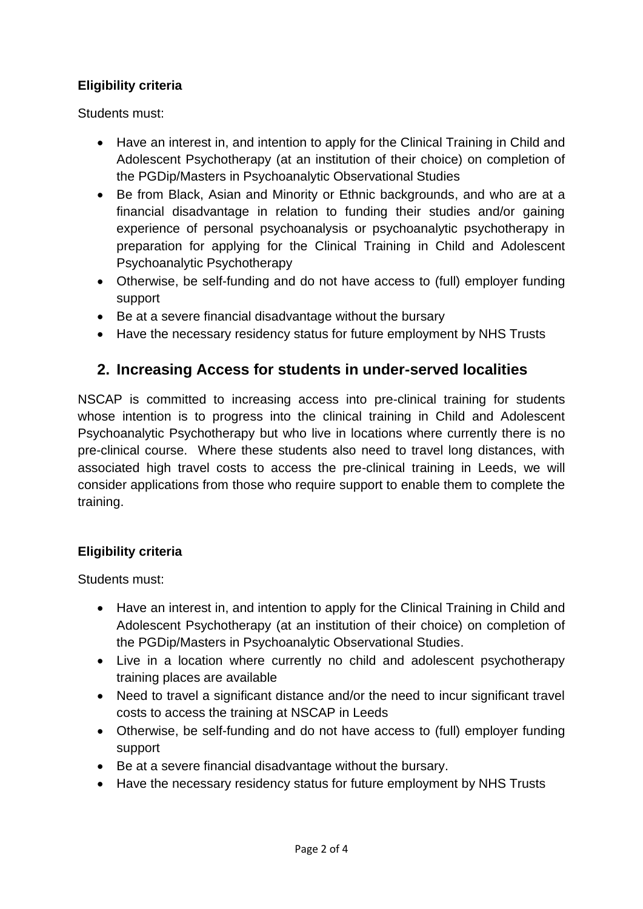### **Eligibility criteria**

Students must:

- Have an interest in, and intention to apply for the Clinical Training in Child and Adolescent Psychotherapy (at an institution of their choice) on completion of the PGDip/Masters in Psychoanalytic Observational Studies
- Be from Black, Asian and Minority or Ethnic backgrounds, and who are at a financial disadvantage in relation to funding their studies and/or gaining experience of personal psychoanalysis or psychoanalytic psychotherapy in preparation for applying for the Clinical Training in Child and Adolescent Psychoanalytic Psychotherapy
- Otherwise, be self-funding and do not have access to (full) employer funding support
- Be at a severe financial disadvantage without the bursary
- Have the necessary residency status for future employment by NHS Trusts

## **2. Increasing Access for students in under-served localities**

NSCAP is committed to increasing access into pre-clinical training for students whose intention is to progress into the clinical training in Child and Adolescent Psychoanalytic Psychotherapy but who live in locations where currently there is no pre-clinical course. Where these students also need to travel long distances, with associated high travel costs to access the pre-clinical training in Leeds, we will consider applications from those who require support to enable them to complete the training.

#### **Eligibility criteria**

Students must:

- Have an interest in, and intention to apply for the Clinical Training in Child and Adolescent Psychotherapy (at an institution of their choice) on completion of the PGDip/Masters in Psychoanalytic Observational Studies.
- Live in a location where currently no child and adolescent psychotherapy training places are available
- Need to travel a significant distance and/or the need to incur significant travel costs to access the training at NSCAP in Leeds
- Otherwise, be self-funding and do not have access to (full) employer funding support
- Be at a severe financial disadvantage without the bursary.
- Have the necessary residency status for future employment by NHS Trusts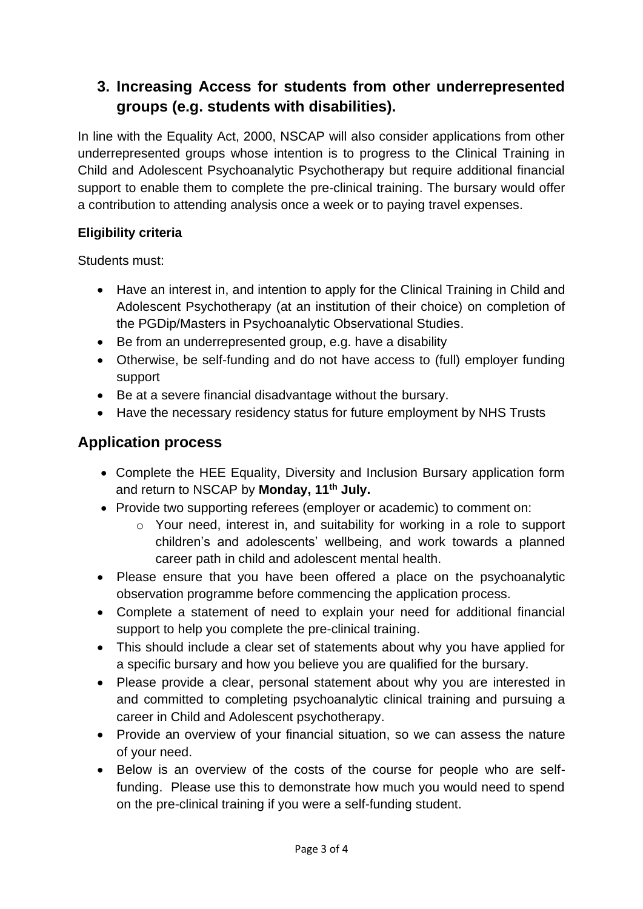# **3. Increasing Access for students from other underrepresented groups (e.g. students with disabilities).**

In line with the Equality Act, 2000, NSCAP will also consider applications from other underrepresented groups whose intention is to progress to the Clinical Training in Child and Adolescent Psychoanalytic Psychotherapy but require additional financial support to enable them to complete the pre-clinical training. The bursary would offer a contribution to attending analysis once a week or to paying travel expenses.

### **Eligibility criteria**

Students must:

- Have an interest in, and intention to apply for the Clinical Training in Child and Adolescent Psychotherapy (at an institution of their choice) on completion of the PGDip/Masters in Psychoanalytic Observational Studies.
- Be from an underrepresented group, e.g. have a disability
- Otherwise, be self-funding and do not have access to (full) employer funding support
- Be at a severe financial disadvantage without the bursary.
- Have the necessary residency status for future employment by NHS Trusts

## **Application process**

- Complete the HEE Equality, Diversity and Inclusion Bursary application form and return to NSCAP by **Monday, 11th July.**
- Provide two supporting referees (employer or academic) to comment on:
	- o Your need, interest in, and suitability for working in a role to support children's and adolescents' wellbeing, and work towards a planned career path in child and adolescent mental health.
- Please ensure that you have been offered a place on the psychoanalytic observation programme before commencing the application process.
- Complete a statement of need to explain your need for additional financial support to help you complete the pre-clinical training.
- This should include a clear set of statements about why you have applied for a specific bursary and how you believe you are qualified for the bursary.
- Please provide a clear, personal statement about why you are interested in and committed to completing psychoanalytic clinical training and pursuing a career in Child and Adolescent psychotherapy.
- Provide an overview of your financial situation, so we can assess the nature of your need.
- Below is an overview of the costs of the course for people who are selffunding. Please use this to demonstrate how much you would need to spend on the pre-clinical training if you were a self-funding student.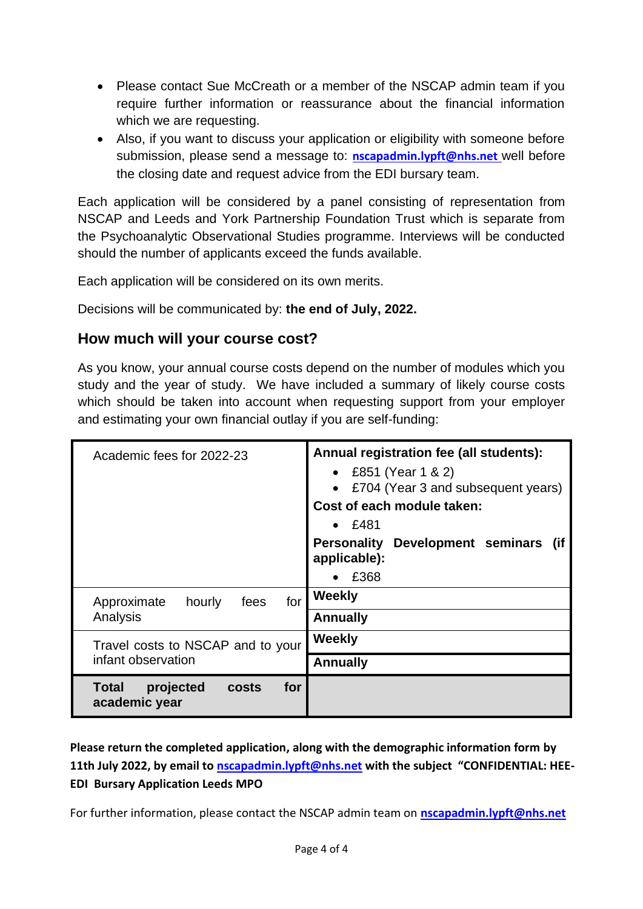- Please contact Sue McCreath or a member of the NSCAP admin team if you require further information or reassurance about the financial information which we are requesting.
- Also, if you want to discuss your application or eligibility with someone before submission, please send a message to: **[nscapadmin.lypft@nhs.net](mailto:nscapadmin.lypft@nhs.net)** well before the closing date and request advice from the EDI bursary team.

Each application will be considered by a panel consisting of representation from NSCAP and Leeds and York Partnership Foundation Trust which is separate from the Psychoanalytic Observational Studies programme. Interviews will be conducted should the number of applicants exceed the funds available.

Each application will be considered on its own merits.

Decisions will be communicated by: **the end of July, 2022.**

## **How much will your course cost?**

As you know, your annual course costs depend on the number of modules which you study and the year of study. We have included a summary of likely course costs which should be taken into account when requesting support from your employer and estimating your own financial outlay if you are self-funding:

| Academic fees for 2022-23                                         | Annual registration fee (all students):<br>• £851 (Year 1 & 2)<br>• £704 (Year 3 and subsequent years)<br>Cost of each module taken:<br>• E481 |
|-------------------------------------------------------------------|------------------------------------------------------------------------------------------------------------------------------------------------|
|                                                                   | <b>Personality</b><br>Development seminars (if<br>applicable):<br>£368                                                                         |
| for<br>hourly<br>fees<br>Approximate<br>Analysis                  | Weekly<br><b>Annually</b>                                                                                                                      |
| Travel costs to NSCAP and to your<br>infant observation           | Weekly<br><b>Annually</b>                                                                                                                      |
| for<br><b>Total</b><br>projected<br><b>costs</b><br>academic year |                                                                                                                                                |

**Please return the completed application, along with the demographic information form by 11th July 2022, by email to [nscapadmin.lypft@nhs.net](mailto:nscapadmin.lypft@nhs.net) with the subject "CONFIDENTIAL: HEE-EDI Bursary Application Leeds MPO**

For further information, please contact the NSCAP admin team on **[nscapadmin.lypft@nhs.net](mailto:nscapadmin.lypft@nhs.net)**